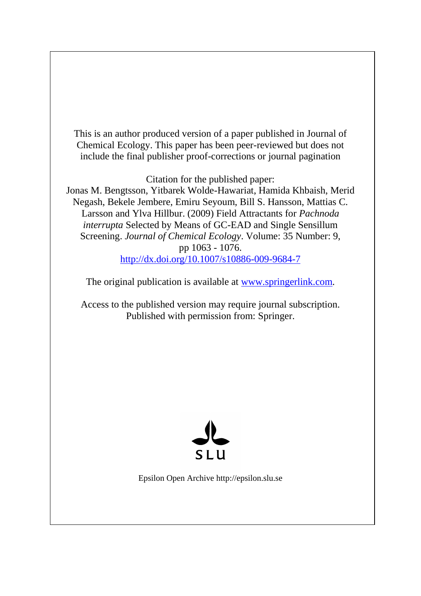This is an author produced version of a paper published in Journal of Chemical Ecology. This paper has been peer-reviewed but does not include the final publisher proof-corrections or journal pagination

Citation for the published paper:

Jonas M. Bengtsson, Yitbarek Wolde-Hawariat, Hamida Khbaish, Merid Negash, Bekele Jembere, Emiru Seyoum, Bill S. Hansson, Mattias C. Larsson and Ylva Hillbur. (2009) Field Attractants for *Pachnoda interrupta* Selected by Means of GC-EAD and Single Sensillum Screening. *Journal of Chemical Ecology*. Volume: 35 Number: 9, pp 1063 - 1076. <http://dx.doi.org/10.1007/s10886-009-9684-7>

The original publication is available at [www.springerlink.com.](http://www.springerlink.com/)

Access to the published version may require journal subscription. Published with permission from: Springer.



Epsilon Open Archive http://epsilon.slu.se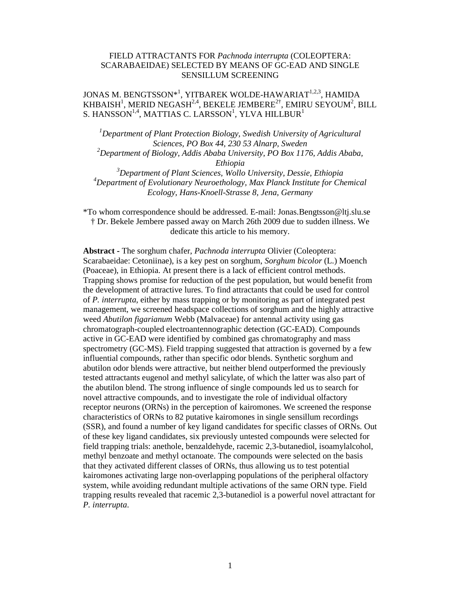# FIELD ATTRACTANTS FOR *Pachnoda interrupta* (COLEOPTERA: SCARABAEIDAE) SELECTED BY MEANS OF GC-EAD AND SINGLE SENSILLUM SCREENING

# JONAS M. BENGTSSON\*<sup>1</sup>, YITBAREK WOLDE-HAWARIAT $^{1,2,3}$ , HAMIDA KHBAISH $^1$ , MERID NEGASH $^{2,4}$ , BEKELE JEMBERE $^{2\dagger}$ , EMIRU SEYOUM $^2$ , BILL S. HANSSON $^{1,4}$ , MATTIAS C. LARSSON $^{1}$ , YLVA HILLBUR $^{1}$

*<sup>1</sup>Department of Plant Protection Biology, Swedish University of Agricultural Sciences, PO Box 44, 230 53 Alnarp, Sweden <sup>2</sup>Department of Biology, Addis Ababa University, PO Box 1176, Addis Ababa, Ethiopia <sup>3</sup>Department of Plant Sciences, Wollo University, Dessie, Ethiopia* 

*<sup>4</sup>Department of Evolutionary Neuroethology, Max Planck Institute for Chemical Ecology, Hans-Knoell-Strasse 8, Jena, Germany* 

\*To whom correspondence should be addressed. E-mail: Jonas.Bengtsson@ltj.slu.se † Dr. Bekele Jembere passed away on March 26th 2009 due to sudden illness. We dedicate this article to his memory.

**Abstract -** The sorghum chafer, *Pachnoda interrupta* Olivier (Coleoptera: Scarabaeidae: Cetoniinae), is a key pest on sorghum, *Sorghum bicolor* (L.) Moench (Poaceae), in Ethiopia. At present there is a lack of efficient control methods. Trapping shows promise for reduction of the pest population, but would benefit from the development of attractive lures. To find attractants that could be used for control of *P. interrupta*, either by mass trapping or by monitoring as part of integrated pest management, we screened headspace collections of sorghum and the highly attractive weed *Abutilon figarianum* Webb (Malvaceae) for antennal activity using gas chromatograph-coupled electroantennographic detection (GC-EAD). Compounds active in GC-EAD were identified by combined gas chromatography and mass spectrometry (GC-MS). Field trapping suggested that attraction is governed by a few influential compounds, rather than specific odor blends. Synthetic sorghum and abutilon odor blends were attractive, but neither blend outperformed the previously tested attractants eugenol and methyl salicylate, of which the latter was also part of the abutilon blend. The strong influence of single compounds led us to search for novel attractive compounds, and to investigate the role of individual olfactory receptor neurons (ORNs) in the perception of kairomones. We screened the response characteristics of ORNs to 82 putative kairomones in single sensillum recordings (SSR), and found a number of key ligand candidates for specific classes of ORNs. Out of these key ligand candidates, six previously untested compounds were selected for field trapping trials: anethole, benzaldehyde, racemic 2,3-butanediol, isoamylalcohol, methyl benzoate and methyl octanoate. The compounds were selected on the basis that they activated different classes of ORNs, thus allowing us to test potential kairomones activating large non-overlapping populations of the peripheral olfactory system, while avoiding redundant multiple activations of the same ORN type. Field trapping results revealed that racemic 2,3-butanediol is a powerful novel attractant for *P. interrupta*.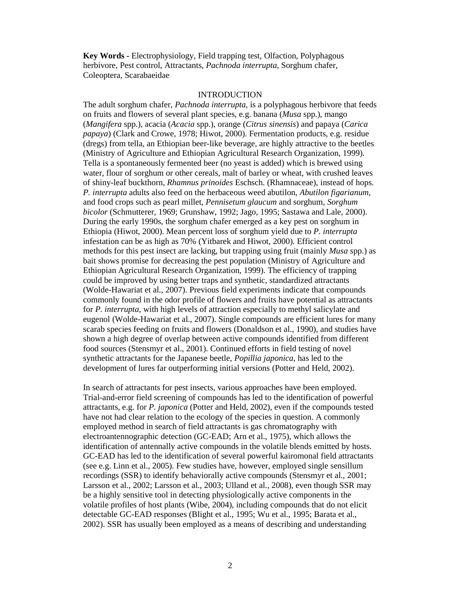**Key Words -** Electrophysiology, Field trapping test, Olfaction, Polyphagous herbivore, Pest control, Attractants, *Pachnoda interrupta*, Sorghum chafer, Coleoptera, Scarabaeidae

## INTRODUCTION

The adult sorghum chafer, *Pachnoda interrupta*, is a polyphagous herbivore that feeds on fruits and flowers of several plant species, e.g. banana (*Musa* spp.), mango (*Mangifera* spp.), acacia (*Acacia* spp.), orange (*Citrus sinensis*) and papaya (*Carica papaya*) (Clark and Crowe, 1978; Hiwot, 2000). Fermentation products, e.g. residue (dregs) from tella, an Ethiopian beer-like beverage, are highly attractive to the beetles (Ministry of Agriculture and Ethiopian Agricultural Research Organization, 1999). Tella is a spontaneously fermented beer (no yeast is added) which is brewed using water, flour of sorghum or other cereals, malt of barley or wheat, with crushed leaves of shiny-leaf buckthorn, *Rhamnus prinoides* Eschsch. (Rhamnaceae), instead of hops. *P. interrupta* adults also feed on the herbaceous weed abutilon, *Abutilon figarianum*, and food crops such as pearl millet, *Pennisetum glaucum* and sorghum, *Sorghum bicolor* (Schmutterer, 1969; Grunshaw, 1992; Jago, 1995; Sastawa and Lale, 2000). During the early 1990s, the sorghum chafer emerged as a key pest on sorghum in Ethiopia (Hiwot, 2000). Mean percent loss of sorghum yield due to *P. interrupta*  infestation can be as high as 70% (Yitbarek and Hiwot, 2000). Efficient control methods for this pest insect are lacking, but trapping using fruit (mainly *Musa* spp.) as bait shows promise for decreasing the pest population (Ministry of Agriculture and Ethiopian Agricultural Research Organization, 1999). The efficiency of trapping could be improved by using better traps and synthetic, standardized attractants (Wolde-Hawariat et al., 2007). Previous field experiments indicate that compounds commonly found in the odor profile of flowers and fruits have potential as attractants for *P*. *interrupta*, with high levels of attraction especially to methyl salicylate and eugenol (Wolde-Hawariat et al., 2007). Single compounds are efficient lures for many scarab species feeding on fruits and flowers (Donaldson et al., 1990), and studies have shown a high degree of overlap between active compounds identified from different food sources (Stensmyr et al., 2001). Continued efforts in field testing of novel synthetic attractants for the Japanese beetle, *Popillia japonica*, has led to the development of lures far outperforming initial versions (Potter and Held, 2002).

In search of attractants for pest insects, various approaches have been employed. Trial-and-error field screening of compounds has led to the identification of powerful attractants, e.g. for *P. japonica* (Potter and Held, 2002), even if the compounds tested have not had clear relation to the ecology of the species in question. A commonly employed method in search of field attractants is gas chromatography with electroantennographic detection (GC-EAD; Arn et al., 1975), which allows the identification of antennally active compounds in the volatile blends emitted by hosts. GC-EAD has led to the identification of several powerful kairomonal field attractants (see e.g. Linn et al., 2005). Few studies have, however, employed single sensillum recordings (SSR) to identify behaviorally active compounds (Stensmyr et al., 2001; Larsson et al., 2002; Larsson et al., 2003; Ulland et al., 2008), even though SSR may be a highly sensitive tool in detecting physiologically active components in the volatile profiles of host plants (Wibe, 2004), including compounds that do not elicit detectable GC-EAD responses (Blight et al., 1995; Wu et al., 1995; Barata et al., 2002). SSR has usually been employed as a means of describing and understanding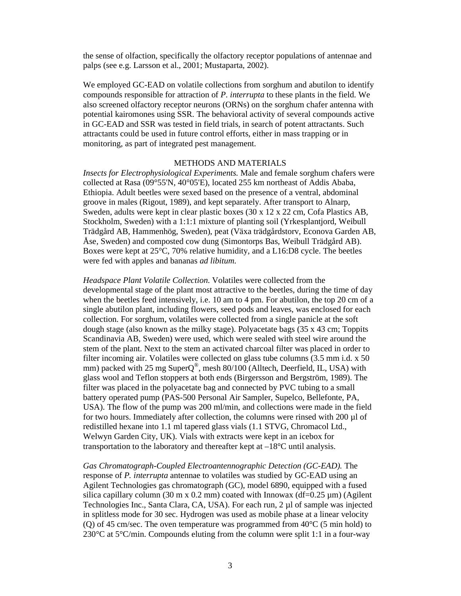the sense of olfaction, specifically the olfactory receptor populations of antennae and palps (see e.g. Larsson et al., 2001; Mustaparta, 2002).

We employed GC-EAD on volatile collections from sorghum and abutilon to identify compounds responsible for attraction of *P*. *interrupta* to these plants in the field. We also screened olfactory receptor neurons (ORNs) on the sorghum chafer antenna with potential kairomones using SSR. The behavioral activity of several compounds active in GC-EAD and SSR was tested in field trials, in search of potent attractants. Such attractants could be used in future control efforts, either in mass trapping or in monitoring, as part of integrated pest management.

## METHODS AND MATERIALS

*Insects for Electrophysiological Experiments.* Male and female sorghum chafers were collected at Rasa (09°55'N, 40°05'E), located 255 km northeast of Addis Ababa, Ethiopia. Adult beetles were sexed based on the presence of a ventral, abdominal groove in males (Rigout, 1989), and kept separately. After transport to Alnarp, Sweden, adults were kept in clear plastic boxes (30 x 12 x 22 cm, Cofa Plastics AB, Stockholm, Sweden) with a 1:1:1 mixture of planting soil (Yrkesplantjord, Weibull Trädgård AB, Hammenhög, Sweden), peat (Växa trädgårdstorv, Econova Garden AB, Åse, Sweden) and composted cow dung (Simontorps Bas, Weibull Trädgård AB). Boxes were kept at 25°C, 70% relative humidity, and a L16:D8 cycle. The beetles were fed with apples and bananas *ad libitum*.

*Headspace Plant Volatile Collection*. Volatiles were collected from the developmental stage of the plant most attractive to the beetles, during the time of day when the beetles feed intensively, i.e. 10 am to 4 pm. For abutilon, the top 20 cm of a single abutilon plant, including flowers, seed pods and leaves, was enclosed for each collection. For sorghum, volatiles were collected from a single panicle at the soft dough stage (also known as the milky stage). Polyacetate bags (35 x 43 cm; Toppits Scandinavia AB, Sweden) were used, which were sealed with steel wire around the stem of the plant. Next to the stem an activated charcoal filter was placed in order to filter incoming air. Volatiles were collected on glass tube columns (3.5 mm i.d. x 50 mm) packed with 25 mg SuperQ®, mesh 80/100 (Alltech, Deerfield, IL, USA) with glass wool and Teflon stoppers at both ends (Birgersson and Bergström, 1989). The filter was placed in the polyacetate bag and connected by PVC tubing to a small battery operated pump (PAS-500 Personal Air Sampler, Supelco, Bellefonte, PA, USA). The flow of the pump was 200 ml/min, and collections were made in the field for two hours. Immediately after collection, the columns were rinsed with  $200 \mu$  of redistilled hexane into 1.1 ml tapered glass vials (1.1 STVG, Chromacol Ltd., Welwyn Garden City, UK). Vials with extracts were kept in an icebox for transportation to the laboratory and thereafter kept at  $-18^{\circ}$ C until analysis.

*Gas Chromatograph-Coupled Electroantennographic Detection (GC-EAD).* The response of *P. interrupta* antennae to volatiles was studied by GC-EAD using an Agilent Technologies gas chromatograph (GC), model 6890, equipped with a fused silica capillary column (30 m x 0.2 mm) coated with Innowax (df=0.25  $\mu$ m) (Agilent Technologies Inc., Santa Clara, CA, USA). For each run, 2 µl of sample was injected in splitless mode for 30 sec. Hydrogen was used as mobile phase at a linear velocity (Q) of 45 cm/sec. The oven temperature was programmed from  $40^{\circ}$ C (5 min hold) to 230°C at 5°C/min. Compounds eluting from the column were split 1:1 in a four-way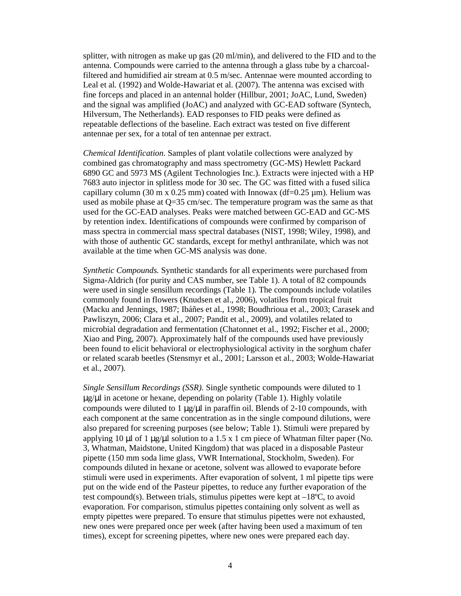splitter, with nitrogen as make up gas (20 ml/min), and delivered to the FID and to the antenna. Compounds were carried to the antenna through a glass tube by a charcoalfiltered and humidified air stream at 0.5 m/sec. Antennae were mounted according to Leal et al*.* (1992) and Wolde-Hawariat et al. (2007). The antenna was excised with fine forceps and placed in an antennal holder (Hillbur, 2001; JoAC, Lund, Sweden) and the signal was amplified (JoAC) and analyzed with GC-EAD software (Syntech, Hilversum, The Netherlands). EAD responses to FID peaks were defined as repeatable deflections of the baseline. Each extract was tested on five different antennae per sex, for a total of ten antennae per extract.

*Chemical Identification*. Samples of plant volatile collections were analyzed by combined gas chromatography and mass spectrometry (GC-MS) Hewlett Packard 6890 GC and 5973 MS (Agilent Technologies Inc.). Extracts were injected with a HP 7683 auto injector in splitless mode for 30 sec. The GC was fitted with a fused silica capillary column (30 m x 0.25 mm) coated with Innowax (df=0.25  $\mu$ m). Helium was used as mobile phase at Q=35 cm/sec. The temperature program was the same as that used for the GC-EAD analyses. Peaks were matched between GC-EAD and GC-MS by retention index. Identifications of compounds were confirmed by comparison of mass spectra in commercial mass spectral databases (NIST, 1998; Wiley, 1998), and with those of authentic GC standards, except for methyl anthranilate, which was not available at the time when GC-MS analysis was done.

*Synthetic Compounds.* Synthetic standards for all experiments were purchased from Sigma-Aldrich (for purity and CAS number, see Table 1). A total of 82 compounds were used in single sensillum recordings (Table 1). The compounds include volatiles commonly found in flowers (Knudsen et al., 2006), volatiles from tropical fruit (Macku and Jennings, 1987; Ibáñes et al., 1998; Boudhrioua et al., 2003; Carasek and Pawliszyn, 2006; Clara et al., 2007; Pandit et al., 2009), and volatiles related to microbial degradation and fermentation (Chatonnet et al., 1992; Fischer et al., 2000; Xiao and Ping, 2007). Approximately half of the compounds used have previously been found to elicit behavioral or electrophysiological activity in the sorghum chafer or related scarab beetles (Stensmyr et al., 2001; Larsson et al., 2003; Wolde-Hawariat et al., 2007).

*Single Sensillum Recordings (SSR).* Single synthetic compounds were diluted to 1 µg/µl in acetone or hexane, depending on polarity (Table 1). Highly volatile compounds were diluted to 1  $\mu$ g/ $\mu$ l in paraffin oil. Blends of 2-10 compounds, with each component at the same concentration as in the single compound dilutions, were also prepared for screening purposes (see below; Table 1). Stimuli were prepared by applying 10 µl of 1 µg/ $\mu$ l solution to a 1.5 x 1 cm piece of Whatman filter paper (No. 3, Whatman, Maidstone, United Kingdom) that was placed in a disposable Pasteur pipette (150 mm soda lime glass, VWR International, Stockholm, Sweden). For compounds diluted in hexane or acetone, solvent was allowed to evaporate before stimuli were used in experiments. After evaporation of solvent, 1 ml pipette tips were put on the wide end of the Pasteur pipettes, to reduce any further evaporation of the test compound(s). Between trials, stimulus pipettes were kept at –18ºC, to avoid evaporation. For comparison, stimulus pipettes containing only solvent as well as empty pipettes were prepared. To ensure that stimulus pipettes were not exhausted, new ones were prepared once per week (after having been used a maximum of ten times), except for screening pipettes, where new ones were prepared each day.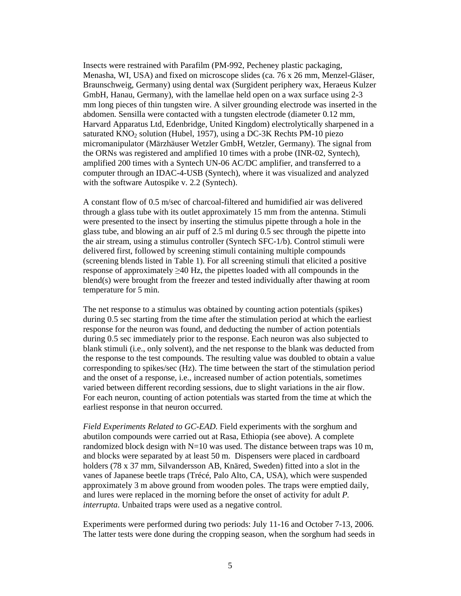Insects were restrained with Parafilm (PM-992, Pecheney plastic packaging, Menasha, WI, USA) and fixed on microscope slides (ca. 76 x 26 mm, Menzel-Gläser, Braunschweig, Germany) using dental wax (Surgident periphery wax, Heraeus Kulzer GmbH, Hanau, Germany), with the lamellae held open on a wax surface using 2-3 mm long pieces of thin tungsten wire. A silver grounding electrode was inserted in the abdomen. Sensilla were contacted with a tungsten electrode (diameter 0.12 mm, Harvard Apparatus Ltd, Edenbridge, United Kingdom) electrolytically sharpened in a saturated  $KNO<sub>2</sub>$  solution (Hubel, 1957), using a DC-3K Rechts PM-10 piezo micromanipulator (Märzhäuser Wetzler GmbH, Wetzler, Germany). The signal from the ORNs was registered and amplified 10 times with a probe (INR-02, Syntech), amplified 200 times with a Syntech UN-06 AC/DC amplifier, and transferred to a computer through an IDAC-4-USB (Syntech), where it was visualized and analyzed with the software Autospike v. 2.2 (Syntech).

A constant flow of 0.5 m/sec of charcoal-filtered and humidified air was delivered through a glass tube with its outlet approximately 15 mm from the antenna. Stimuli were presented to the insect by inserting the stimulus pipette through a hole in the glass tube, and blowing an air puff of 2.5 ml during 0.5 sec through the pipette into the air stream, using a stimulus controller (Syntech SFC-1/b). Control stimuli were delivered first, followed by screening stimuli containing multiple compounds (screening blends listed in Table 1). For all screening stimuli that elicited a positive response of approximately  $\geq 40$  Hz, the pipettes loaded with all compounds in the blend(s) were brought from the freezer and tested individually after thawing at room temperature for 5 min.

The net response to a stimulus was obtained by counting action potentials (spikes) during 0.5 sec starting from the time after the stimulation period at which the earliest response for the neuron was found, and deducting the number of action potentials during 0.5 sec immediately prior to the response. Each neuron was also subjected to blank stimuli (i.e., only solvent), and the net response to the blank was deducted from the response to the test compounds. The resulting value was doubled to obtain a value corresponding to spikes/sec (Hz). The time between the start of the stimulation period and the onset of a response, i.e., increased number of action potentials, sometimes varied between different recording sessions, due to slight variations in the air flow. For each neuron, counting of action potentials was started from the time at which the earliest response in that neuron occurred.

*Field Experiments Related to GC-EAD*. Field experiments with the sorghum and abutilon compounds were carried out at Rasa, Ethiopia (see above). A complete randomized block design with  $N=10$  was used. The distance between traps was 10 m, and blocks were separated by at least 50 m. Dispensers were placed in cardboard holders (78 x 37 mm, Silvandersson AB, Knäred, Sweden) fitted into a slot in the vanes of Japanese beetle traps (Trécé, Palo Alto, CA, USA), which were suspended approximately 3 m above ground from wooden poles. The traps were emptied daily, and lures were replaced in the morning before the onset of activity for adult *P. interrupta*. Unbaited traps were used as a negative control.

Experiments were performed during two periods: July 11-16 and October 7-13, 2006. The latter tests were done during the cropping season, when the sorghum had seeds in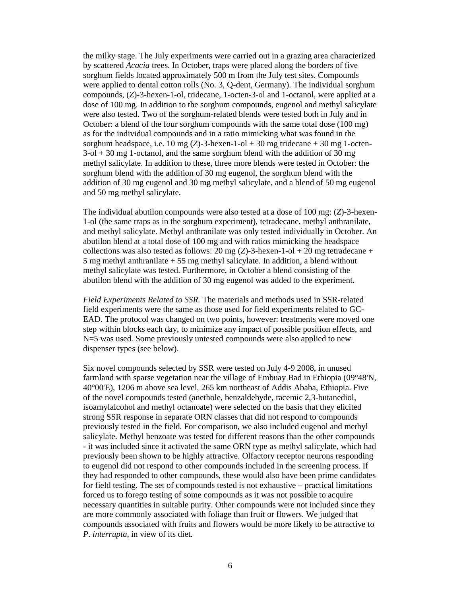the milky stage. The July experiments were carried out in a grazing area characterized by scattered *Acacia* trees. In October, traps were placed along the borders of five sorghum fields located approximately 500 m from the July test sites. Compounds were applied to dental cotton rolls (No. 3, Q-dent, Germany). The individual sorghum compounds, (*Z*)-3-hexen-1-ol, tridecane, 1-octen-3-ol and 1-octanol, were applied at a dose of 100 mg. In addition to the sorghum compounds, eugenol and methyl salicylate were also tested. Two of the sorghum-related blends were tested both in July and in October: a blend of the four sorghum compounds with the same total dose (100 mg) as for the individual compounds and in a ratio mimicking what was found in the sorghum headspace, i.e. 10 mg  $(Z)$ -3-hexen-1-ol + 30 mg tridecane + 30 mg 1-octen- $3$ -ol  $+$  30 mg 1-octanol, and the same sorghum blend with the addition of 30 mg methyl salicylate. In addition to these, three more blends were tested in October: the sorghum blend with the addition of 30 mg eugenol, the sorghum blend with the addition of 30 mg eugenol and 30 mg methyl salicylate, and a blend of 50 mg eugenol and 50 mg methyl salicylate.

The individual abutilon compounds were also tested at a dose of 100 mg: (*Z*)-3-hexen-1-ol (the same traps as in the sorghum experiment), tetradecane, methyl anthranilate, and methyl salicylate. Methyl anthranilate was only tested individually in October. An abutilon blend at a total dose of 100 mg and with ratios mimicking the headspace collections was also tested as follows: 20 mg  $(Z)$ -3-hexen-1-ol + 20 mg tetradecane + 5 mg methyl anthranilate + 55 mg methyl salicylate. In addition, a blend without methyl salicylate was tested. Furthermore, in October a blend consisting of the abutilon blend with the addition of 30 mg eugenol was added to the experiment.

*Field Experiments Related to SSR.* The materials and methods used in SSR-related field experiments were the same as those used for field experiments related to GC-EAD. The protocol was changed on two points, however: treatments were moved one step within blocks each day, to minimize any impact of possible position effects, and N=5 was used. Some previously untested compounds were also applied to new dispenser types (see below).

Six novel compounds selected by SSR were tested on July 4-9 2008, in unused farmland with sparse vegetation near the village of Embuay Bad in Ethiopia (09°48'N, 40°00'E), 1206 m above sea level, 265 km northeast of Addis Ababa, Ethiopia. Five of the novel compounds tested (anethole, benzaldehyde, racemic 2,3-butanediol, isoamylalcohol and methyl octanoate) were selected on the basis that they elicited strong SSR response in separate ORN classes that did not respond to compounds previously tested in the field. For comparison, we also included eugenol and methyl salicylate. Methyl benzoate was tested for different reasons than the other compounds - it was included since it activated the same ORN type as methyl salicylate, which had previously been shown to be highly attractive. Olfactory receptor neurons responding to eugenol did not respond to other compounds included in the screening process. If they had responded to other compounds, these would also have been prime candidates for field testing. The set of compounds tested is not exhaustive – practical limitations forced us to forego testing of some compounds as it was not possible to acquire necessary quantities in suitable purity. Other compounds were not included since they are more commonly associated with foliage than fruit or flowers. We judged that compounds associated with fruits and flowers would be more likely to be attractive to *P*. *interrupta*, in view of its diet.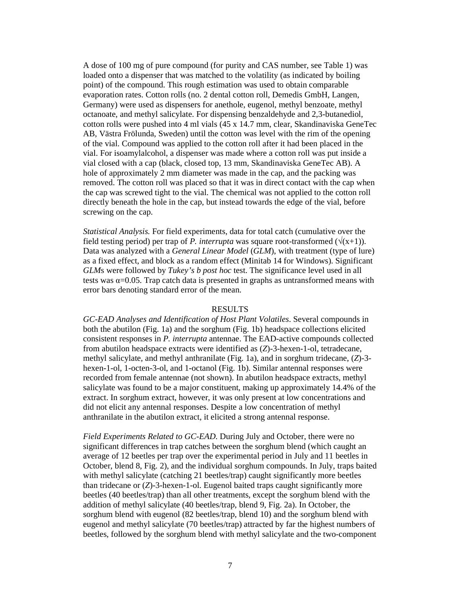A dose of 100 mg of pure compound (for purity and CAS number, see Table 1) was loaded onto a dispenser that was matched to the volatility (as indicated by boiling point) of the compound. This rough estimation was used to obtain comparable evaporation rates. Cotton rolls (no. 2 dental cotton roll, Demedis GmbH, Langen, Germany) were used as dispensers for anethole, eugenol, methyl benzoate, methyl octanoate, and methyl salicylate. For dispensing benzaldehyde and 2,3-butanediol, cotton rolls were pushed into 4 ml vials (45 x 14.7 mm, clear, Skandinaviska GeneTec AB, Västra Frölunda, Sweden) until the cotton was level with the rim of the opening of the vial. Compound was applied to the cotton roll after it had been placed in the vial. For isoamylalcohol, a dispenser was made where a cotton roll was put inside a vial closed with a cap (black, closed top, 13 mm, Skandinaviska GeneTec AB). A hole of approximately 2 mm diameter was made in the cap, and the packing was removed. The cotton roll was placed so that it was in direct contact with the cap when the cap was screwed tight to the vial. The chemical was not applied to the cotton roll directly beneath the hole in the cap, but instead towards the edge of the vial, before screwing on the cap.

*Statistical Analysis.* For field experiments, data for total catch (cumulative over the field testing period) per trap of *P. interrupta* was square root-transformed  $(\sqrt{x+1})$ . Data was analyzed with a *General Linear Model* (*GLM*), with treatment (type of lure) as a fixed effect, and block as a random effect (Minitab 14 for Windows). Significant *GLM*s were followed by *Tukey's b post hoc* test. The significance level used in all tests was  $\alpha$ =0.05. Trap catch data is presented in graphs as untransformed means with error bars denoting standard error of the mean.

### RESULTS

*GC-EAD Analyses and Identification of Host Plant Volatiles*. Several compounds in both the abutilon (Fig. 1a) and the sorghum (Fig. 1b) headspace collections elicited consistent responses in *P. interrupta* antennae. The EAD-active compounds collected from abutilon headspace extracts were identified as (*Z*)-3-hexen-1-ol, tetradecane, methyl salicylate, and methyl anthranilate (Fig. 1a), and in sorghum tridecane, (*Z*)-3 hexen-1-ol, 1-octen-3-ol, and 1-octanol (Fig. 1b). Similar antennal responses were recorded from female antennae (not shown). In abutilon headspace extracts, methyl salicylate was found to be a major constituent, making up approximately 14.4% of the extract. In sorghum extract, however, it was only present at low concentrations and did not elicit any antennal responses. Despite a low concentration of methyl anthranilate in the abutilon extract, it elicited a strong antennal response.

*Field Experiments Related to GC-EAD*. During July and October, there were no significant differences in trap catches between the sorghum blend (which caught an average of 12 beetles per trap over the experimental period in July and 11 beetles in October, blend 8, Fig. 2), and the individual sorghum compounds. In July, traps baited with methyl salicylate (catching 21 beetles/trap) caught significantly more beetles than tridecane or (*Z*)-3-hexen-1-ol. Eugenol baited traps caught significantly more beetles (40 beetles/trap) than all other treatments, except the sorghum blend with the addition of methyl salicylate (40 beetles/trap, blend 9, Fig. 2a). In October, the sorghum blend with eugenol (82 beetles/trap, blend 10) and the sorghum blend with eugenol and methyl salicylate (70 beetles/trap) attracted by far the highest numbers of beetles, followed by the sorghum blend with methyl salicylate and the two-component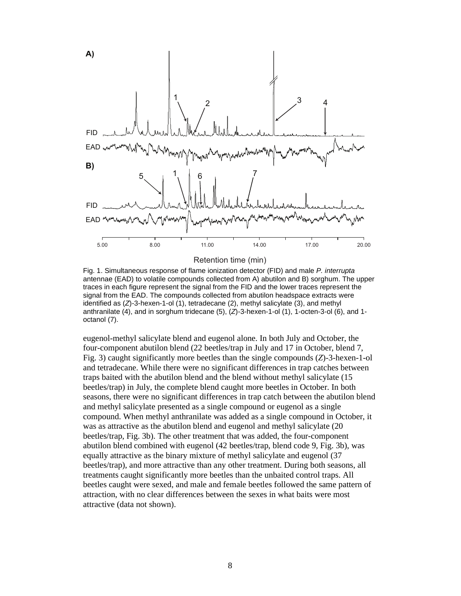

Retention time (min)

Fig. 1. Simultaneous response of flame ionization detector (FID) and male P. interrupta antennae (EAD) to volatile compounds collected from A) abutilon and B) sorghum. The upper traces in each figure represent the signal from the FID and the lower traces represent the signal from the EAD. The compounds collected from abutilon headspace extracts were identified as  $(Z)$ -3-hexen-1-ol (1), tetradecane  $(2)$ , methyl salicylate  $(3)$ , and methyl anthranilate (4), and in sorghum tridecane (5),  $(Z)$ -3-hexen-1-ol (1), 1-octen-3-ol (6), and 1octanol (7).

eugenol-methyl salicylate blend and eugenol alone. In both July and October, the four-component abutilon blend (22 beetles/trap in July and 17 in October, blend 7, Fig. 3) caught significantly more beetles than the single compounds (*Z*)-3-hexen-1-ol and tetradecane. While there were no significant differences in trap catches between traps baited with the abutilon blend and the blend without methyl salicylate (15 beetles/trap) in July, the complete blend caught more beetles in October. In both seasons, there were no significant differences in trap catch between the abutilon blend and methyl salicylate presented as a single compound or eugenol as a single compound. When methyl anthranilate was added as a single compound in October, it was as attractive as the abutilon blend and eugenol and methyl salicylate (20 beetles/trap, Fig. 3b). The other treatment that was added, the four-component abutilon blend combined with eugenol (42 beetles/trap, blend code 9, Fig. 3b), was equally attractive as the binary mixture of methyl salicylate and eugenol (37 beetles/trap), and more attractive than any other treatment. During both seasons, all treatments caught significantly more beetles than the unbaited control traps. All beetles caught were sexed, and male and female beetles followed the same pattern of attraction, with no clear differences between the sexes in what baits were most attractive (data not shown).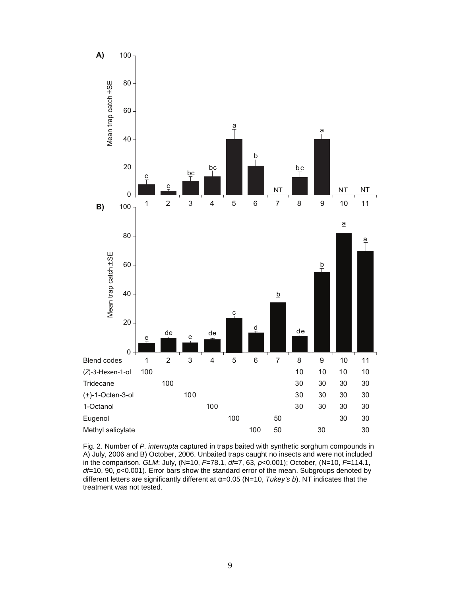

Fig. 2. Number of P. interrupta captured in traps baited with synthetic sorghum compounds in A) July, 2006 and B) October, 2006. Unbaited traps caught no insects and were not included in the comparison. GLM: July,  $(N=10, F=78.1, df=7, 63, p<0.001)$ ; October,  $(N=10, F=114.1,$  $df=10$ , 90,  $p<0.001$ ). Error bars show the standard error of the mean. Subgroups denoted by different letters are significantly different at  $\alpha$ =0.05 (N=10, Tukey's b). NT indicates that the treatment was not tested.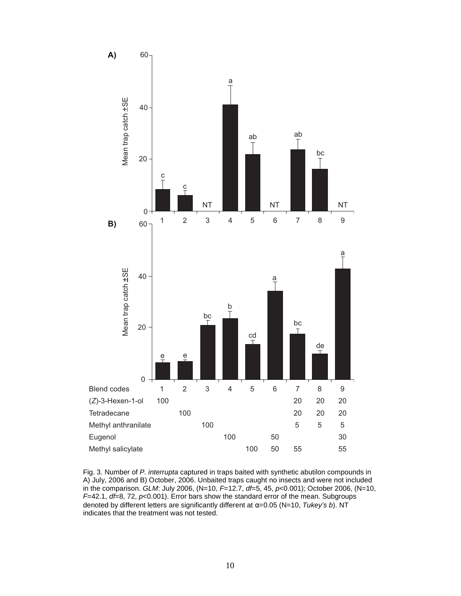

Fig. 3. Number of P. interrupta captured in traps baited with synthetic abutilon compounds in A) July, 2006 and B) October, 2006. Unbaited traps caught no insects and were not included in the comparison. GLM: July 2006, (N=10, F=12.7, df=5, 45, p<0.001); October 2006, (N=10,  $F=42.1$ ,  $df=8$ , 72,  $p<0.001$ ). Error bars show the standard error of the mean. Subgroups denoted by different letters are significantly different at  $\alpha$ =0.05 (N=10, Tukey's b). NT indicates that the treatment was not tested.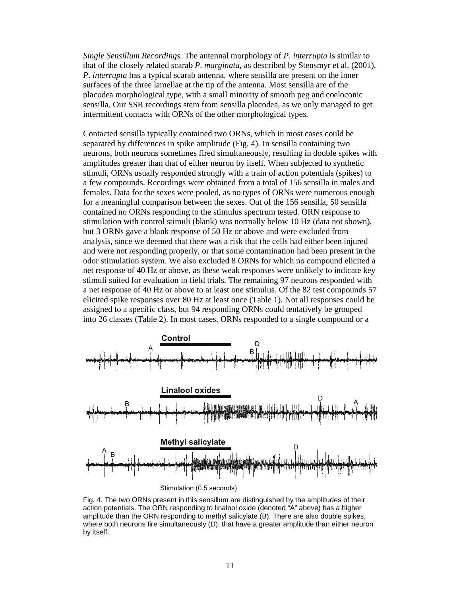*Single Sensillum Recordings.* The antennal morphology of *P*. *interrupta* is similar to that of the closely related scarab *P*. *marginata*, as described by Stensmyr et al. (2001). *P*. *interrupta* has a typical scarab antenna, where sensilla are present on the inner surfaces of the three lamellae at the tip of the antenna. Most sensilla are of the placodea morphological type, with a small minority of smooth peg and coeloconic sensilla. Our SSR recordings stem from sensilla placodea, as we only managed to get intermittent contacts with ORNs of the other morphological types.

Contacted sensilla typically contained two ORNs, which in most cases could be separated by differences in spike amplitude (Fig. 4). In sensilla containing two neurons, both neurons sometimes fired simultaneously, resulting in double spikes with amplitudes greater than that of either neuron by itself. When subjected to synthetic stimuli, ORNs usually responded strongly with a train of action potentials (spikes) to a few compounds. Recordings were obtained from a total of 156 sensilla in males and females. Data for the sexes were pooled, as no types of ORNs were numerous enough for a meaningful comparison between the sexes. Out of the 156 sensilla, 50 sensilla contained no ORNs responding to the stimulus spectrum tested. ORN response to stimulation with control stimuli (blank) was normally below 10 Hz (data not shown), but 3 ORNs gave a blank response of 50 Hz or above and were excluded from analysis, since we deemed that there was a risk that the cells had either been injured and were not responding properly, or that some contamination had been present in the odor stimulation system. We also excluded 8 ORNs for which no compound elicited a net response of 40 Hz or above, as these weak responses were unlikely to indicate key stimuli suited for evaluation in field trials. The remaining 97 neurons responded with a net response of 40 Hz or above to at least one stimulus. Of the 82 test compounds 57 elicited spike responses over 80 Hz at least once (Table 1). Not all responses could be assigned to a specific class, but 94 responding ORNs could tentatively be grouped into 26 classes (Table 2). In most cases, ORNs responded to a single compound or a



Fig. 4. The two ORNs present in this sensillum are distinguished by the amplitudes of their action potentials. The ORN responding to linalool oxide (denoted "A" above) has a higher amplitude than the ORN responding to methyl salicylate (B). There are also double spikes, where both neurons fire simultaneously (D), that have a greater amplitude than either neuron by itself.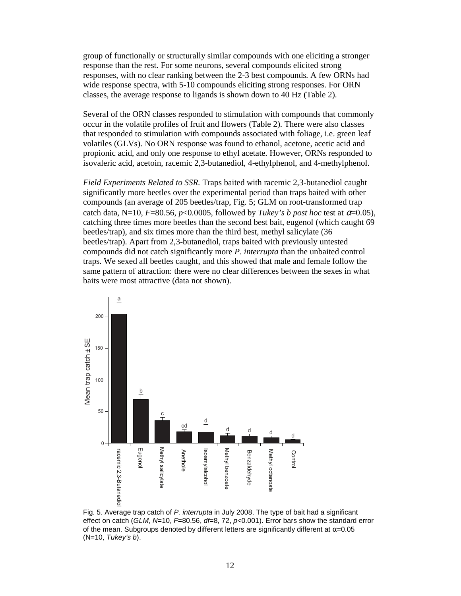group of functionally or structurally similar compounds with one eliciting a stronger response than the rest. For some neurons, several compounds elicited strong responses, with no clear ranking between the 2-3 best compounds. A few ORNs had wide response spectra, with 5-10 compounds eliciting strong responses. For ORN classes, the average response to ligands is shown down to 40 Hz (Table 2).

Several of the ORN classes responded to stimulation with compounds that commonly occur in the volatile profiles of fruit and flowers (Table 2). There were also classes that responded to stimulation with compounds associated with foliage, i.e. green leaf volatiles (GLVs). No ORN response was found to ethanol, acetone, acetic acid and propionic acid, and only one response to ethyl acetate. However, ORNs responded to isovaleric acid, acetoin, racemic 2,3-butanediol, 4-ethylphenol, and 4-methylphenol.

*Field Experiments Related to SSR.* Traps baited with racemic 2,3-butanediol caught significantly more beetles over the experimental period than traps baited with other compounds (an average of 205 beetles/trap, Fig. 5; GLM on root-transformed trap catch data, N=10,  $F=80.56$ ,  $p<0.0005$ , followed by *Tukey's b post hoc* test at  $\alpha=0.05$ ), catching three times more beetles than the second best bait, eugenol (which caught 69 beetles/trap), and six times more than the third best, methyl salicylate (36 beetles/trap). Apart from 2,3-butanediol, traps baited with previously untested compounds did not catch significantly more *P*. *interrupta* than the unbaited control traps. We sexed all beetles caught, and this showed that male and female follow the same pattern of attraction: there were no clear differences between the sexes in what baits were most attractive (data not shown).



Fig. 5. Average trap catch of P. interrupta in July 2008. The type of bait had a significant effect on catch (GLM, N=10, F=80.56, df=8, 72, p<0.001). Error bars show the standard error of the mean. Subgroups denoted by different letters are significantly different at  $\alpha$ =0.05  $(N=10,$  Tukey's b).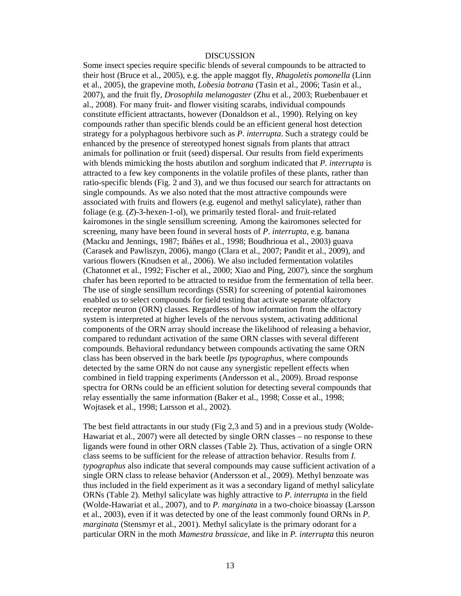#### DISCUSSION

Some insect species require specific blends of several compounds to be attracted to their host (Bruce et al., 2005), e.g. the apple maggot fly, *Rhagoletis pomonella* (Linn et al., 2005), the grapevine moth, *Lobesia botrana* (Tasin et al., 2006; Tasin et al., 2007), and the fruit fly, *Drosophila melanogaster* (Zhu et al., 2003; Ruebenbauer et al., 2008). For many fruit- and flower visiting scarabs, individual compounds constitute efficient attractants, however (Donaldson et al., 1990). Relying on key compounds rather than specific blends could be an efficient general host detection strategy for a polyphagous herbivore such as *P*. *interrupta*. Such a strategy could be enhanced by the presence of stereotyped honest signals from plants that attract animals for pollination or fruit (seed) dispersal. Our results from field experiments with blends mimicking the hosts abutilon and sorghum indicated that *P*. *interrupta* is attracted to a few key components in the volatile profiles of these plants, rather than ratio-specific blends (Fig. 2 and 3), and we thus focused our search for attractants on single compounds. As we also noted that the most attractive compounds were associated with fruits and flowers (e.g. eugenol and methyl salicylate), rather than foliage (e.g. (*Z*)-3-hexen-1-ol), we primarily tested floral- and fruit-related kairomones in the single sensillum screening. Among the kairomones selected for screening, many have been found in several hosts of *P*. *interrupta*, e.g. banana (Macku and Jennings, 1987; Ibáñes et al., 1998; Boudhrioua et al., 2003) guava (Carasek and Pawliszyn, 2006), mango (Clara et al., 2007; Pandit et al., 2009), and various flowers (Knudsen et al., 2006). We also included fermentation volatiles (Chatonnet et al., 1992; Fischer et al., 2000; Xiao and Ping, 2007), since the sorghum chafer has been reported to be attracted to residue from the fermentation of tella beer. The use of single sensillum recordings (SSR) for screening of potential kairomones enabled us to select compounds for field testing that activate separate olfactory receptor neuron (ORN) classes. Regardless of how information from the olfactory system is interpreted at higher levels of the nervous system, activating additional components of the ORN array should increase the likelihood of releasing a behavior, compared to redundant activation of the same ORN classes with several different compounds. Behavioral redundancy between compounds activating the same ORN class has been observed in the bark beetle *Ips typographus*, where compounds detected by the same ORN do not cause any synergistic repellent effects when combined in field trapping experiments (Andersson et al., 2009). Broad response spectra for ORNs could be an efficient solution for detecting several compounds that relay essentially the same information (Baker et al., 1998; Cosse et al., 1998; Wojtasek et al., 1998; Larsson et al., 2002).

The best field attractants in our study (Fig 2,3 and 5) and in a previous study (Wolde-Hawariat et al., 2007) were all detected by single ORN classes – no response to these ligands were found in other ORN classes (Table 2). Thus, activation of a single ORN class seems to be sufficient for the release of attraction behavior. Results from *I*. *typographus* also indicate that several compounds may cause sufficient activation of a single ORN class to release behavior (Andersson et al., 2009). Methyl benzoate was thus included in the field experiment as it was a secondary ligand of methyl salicylate ORNs (Table 2). Methyl salicylate was highly attractive to *P*. *interrupta* in the field (Wolde-Hawariat et al., 2007), and to *P. marginata* in a two-choice bioassay (Larsson et al., 2003), even if it was detected by one of the least commonly found ORNs in *P*. *marginata* (Stensmyr et al., 2001). Methyl salicylate is the primary odorant for a particular ORN in the moth *Mamestra brassicae*, and like in *P. interrupta* this neuron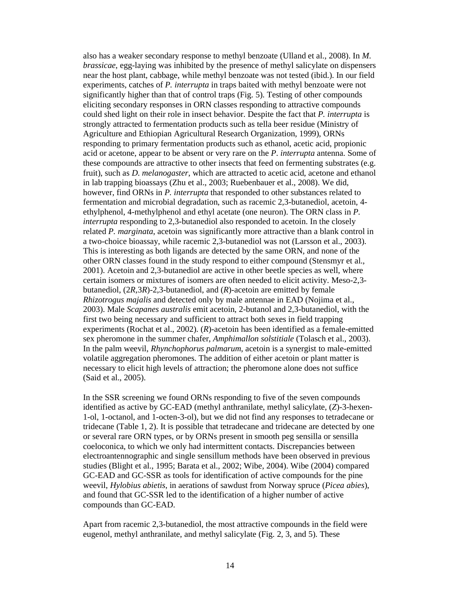also has a weaker secondary response to methyl benzoate (Ulland et al., 2008). In *M*. *brassicae*, egg-laying was inhibited by the presence of methyl salicylate on dispensers near the host plant, cabbage, while methyl benzoate was not tested (ibid.). In our field experiments, catches of *P. interrupta* in traps baited with methyl benzoate were not significantly higher than that of control traps (Fig. 5). Testing of other compounds eliciting secondary responses in ORN classes responding to attractive compounds could shed light on their role in insect behavior. Despite the fact that *P. interrupta* is strongly attracted to fermentation products such as tella beer residue (Ministry of Agriculture and Ethiopian Agricultural Research Organization, 1999), ORNs responding to primary fermentation products such as ethanol, acetic acid, propionic acid or acetone, appear to be absent or very rare on the *P*. *interrupta* antenna. Some of these compounds are attractive to other insects that feed on fermenting substrates (e.g. fruit), such as *D*. *melanogaster*, which are attracted to acetic acid, acetone and ethanol in lab trapping bioassays (Zhu et al., 2003; Ruebenbauer et al., 2008). We did, however, find ORNs in *P. interrupta* that responded to other substances related to fermentation and microbial degradation, such as racemic 2,3-butanediol, acetoin, 4 ethylphenol, 4-methylphenol and ethyl acetate (one neuron). The ORN class in *P. interrupta* responding to 2,3-butanediol also responded to acetoin. In the closely related *P. marginata*, acetoin was significantly more attractive than a blank control in a two-choice bioassay, while racemic 2,3-butanediol was not (Larsson et al., 2003). This is interesting as both ligands are detected by the same ORN, and none of the other ORN classes found in the study respond to either compound (Stensmyr et al., 2001). Acetoin and 2,3-butanediol are active in other beetle species as well, where certain isomers or mixtures of isomers are often needed to elicit activity. Meso-2,3 butanediol, (2*R*,3*R*)-2,3-butanediol, and (*R*)-acetoin are emitted by female *Rhizotrogus majalis* and detected only by male antennae in EAD (Nojima et al., 2003). Male *Scapanes australis* emit acetoin, 2-butanol and 2,3-butanediol, with the first two being necessary and sufficient to attract both sexes in field trapping experiments (Rochat et al., 2002). (*R*)-acetoin has been identified as a female-emitted sex pheromone in the summer chafer, *Amphimallon solstitiale* (Tolasch et al., 2003). In the palm weevil, *Rhynchophorus palmarum*, acetoin is a synergist to male-emitted volatile aggregation pheromones. The addition of either acetoin or plant matter is necessary to elicit high levels of attraction; the pheromone alone does not suffice (Said et al., 2005).

In the SSR screening we found ORNs responding to five of the seven compounds identified as active by GC-EAD (methyl anthranilate, methyl salicylate, (*Z*)-3-hexen-1-ol, 1-octanol, and 1-octen-3-ol), but we did not find any responses to tetradecane or tridecane (Table 1, 2). It is possible that tetradecane and tridecane are detected by one or several rare ORN types, or by ORNs present in smooth peg sensilla or sensilla coeloconica, to which we only had intermittent contacts. Discrepancies between electroantennographic and single sensillum methods have been observed in previous studies (Blight et al., 1995; Barata et al., 2002; Wibe, 2004). Wibe (2004) compared GC-EAD and GC-SSR as tools for identification of active compounds for the pine weevil, *Hylobius abietis*, in aerations of sawdust from Norway spruce (*Picea abies*), and found that GC-SSR led to the identification of a higher number of active compounds than GC-EAD.

Apart from racemic 2,3-butanediol, the most attractive compounds in the field were eugenol, methyl anthranilate, and methyl salicylate (Fig. 2, 3, and 5). These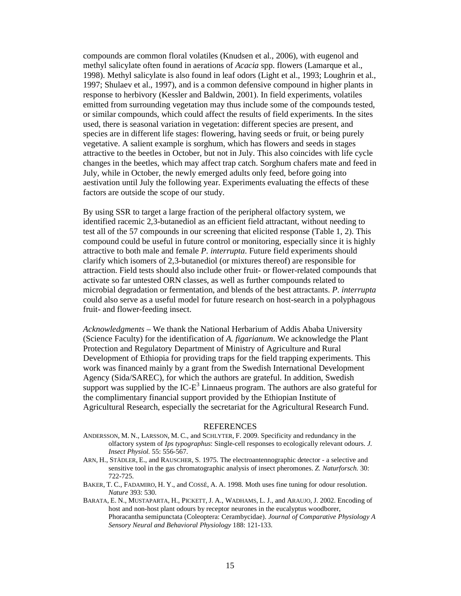compounds are common floral volatiles (Knudsen et al., 2006), with eugenol and methyl salicylate often found in aerations of *Acacia* spp. flowers (Lamarque et al., 1998). Methyl salicylate is also found in leaf odors (Light et al., 1993; Loughrin et al., 1997; Shulaev et al., 1997), and is a common defensive compound in higher plants in response to herbivory (Kessler and Baldwin, 2001). In field experiments, volatiles emitted from surrounding vegetation may thus include some of the compounds tested, or similar compounds, which could affect the results of field experiments. In the sites used, there is seasonal variation in vegetation: different species are present, and species are in different life stages: flowering, having seeds or fruit, or being purely vegetative. A salient example is sorghum, which has flowers and seeds in stages attractive to the beetles in October, but not in July. This also coincides with life cycle changes in the beetles, which may affect trap catch. Sorghum chafers mate and feed in July, while in October, the newly emerged adults only feed, before going into aestivation until July the following year. Experiments evaluating the effects of these factors are outside the scope of our study.

By using SSR to target a large fraction of the peripheral olfactory system, we identified racemic 2,3-butanediol as an efficient field attractant, without needing to test all of the 57 compounds in our screening that elicited response (Table 1, 2). This compound could be useful in future control or monitoring, especially since it is highly attractive to both male and female *P*. *interrupta*. Future field experiments should clarify which isomers of 2,3-butanediol (or mixtures thereof) are responsible for attraction. Field tests should also include other fruit- or flower-related compounds that activate so far untested ORN classes, as well as further compounds related to microbial degradation or fermentation, and blends of the best attractants. *P*. *interrupta* could also serve as a useful model for future research on host-search in a polyphagous fruit- and flower-feeding insect.

*Acknowledgments* – We thank the National Herbarium of Addis Ababa University (Science Faculty) for the identification of *A. figarianum*. We acknowledge the Plant Protection and Regulatory Department of Ministry of Agriculture and Rural Development of Ethiopia for providing traps for the field trapping experiments. This work was financed mainly by a grant from the Swedish International Development Agency (Sida/SAREC), for which the authors are grateful. In addition, Swedish support was supplied by the IC- $E^3$  Linnaeus program. The authors are also grateful for the complimentary financial support provided by the Ethiopian Institute of Agricultural Research, especially the secretariat for the Agricultural Research Fund.

#### REFERENCES

- ANDERSSON, M. N., LARSSON, M. C., and SCHLYTER, F. 2009. Specificity and redundancy in the olfactory system of *Ips typographus*: Single-cell responses to ecologically relevant odours. *J. Insect Physiol.* 55: 556-567.
- ARN, H., STÄDLER, E., and RAUSCHER, S. 1975. The electroantennographic detector a selective and sensitive tool in the gas chromatographic analysis of insect pheromones. *Z. Naturforsch.* 30: 722-725.
- BAKER, T. C., FADAMIRO, H. Y., and COSSÉ, A. A. 1998. Moth uses fine tuning for odour resolution. *Nature* 393: 530.
- BARATA, E. N., MUSTAPARTA, H., PICKETT, J. A., WADHAMS, L. J., and ARAUJO, J. 2002. Encoding of host and non-host plant odours by receptor neurones in the eucalyptus woodborer, Phoracantha semipunctata (Coleoptera: Cerambycidae). *Journal of Comparative Physiology A Sensory Neural and Behavioral Physiology* 188: 121-133.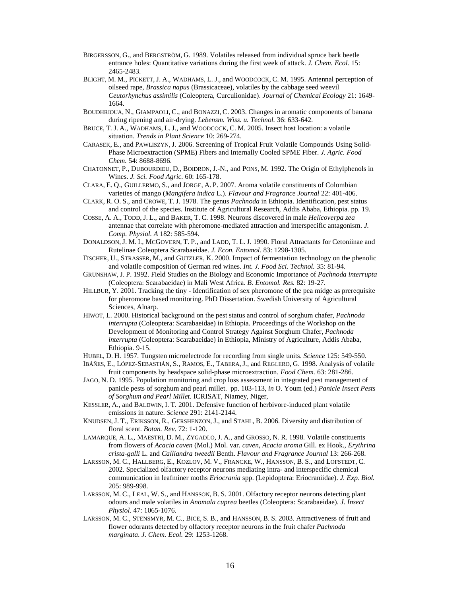- BIRGERSSON, G., and BERGSTRÖM, G. 1989. Volatiles released from individual spruce bark beetle entrance holes: Quantitative variations during the first week of attack. *J. Chem. Ecol.* 15: 2465-2483.
- BLIGHT, M. M., PICKETT, J. A., WADHAMS, L. J., and WOODCOCK, C. M. 1995. Antennal perception of oilseed rape, *Brassica napus* (Brassicaceae), volatiles by the cabbage seed weevil *Ceutorhynchus assimilis* (Coleoptera, Curculionidae). *Journal of Chemical Ecology* 21: 1649- 1664.
- BOUDHRIOUA, N., GIAMPAOLI, C., and BONAZZI, C. 2003. Changes in aromatic components of banana during ripening and air-drying. *Lebensm. Wiss. u. Technol.* 36: 633-642.
- BRUCE, T. J. A., WADHAMS, L. J., and WOODCOCK, C. M. 2005. Insect host location: a volatile situation. *Trends in Plant Science* 10: 269-274.
- CARASEK, E., and PAWLISZYN, J. 2006. Screening of Tropical Fruit Volatile Compounds Using Solid-Phase Microextraction (SPME) Fibers and Internally Cooled SPME Fiber. *J. Agric. Food Chem.* 54: 8688-8696.
- CHATONNET, P., DUBOURDIEU, D., BOIDRON, J.-N., and PONS, M. 1992. The Origin of Ethylphenols in Wines. *J. Sci. Food Agric.* 60: 165-178.
- CLARA, E. Q., GUILLERMO, S., and JORGE, A. P. 2007. Aroma volatile constituents of Colombian varieties of mango (*Mangifera indica* L.). *Flavour and Fragrance Journal* 22: 401-406.
- CLARK, R. O. S., and CROWE, T. J. 1978. The genus *Pachnoda* in Ethiopia. Identification, pest status and control of the species. Institute of Agricultural Research, Addis Ababa, Ethiopia. pp. 19.
- COSSE, A. A., TODD, J. L., and BAKER, T. C. 1998. Neurons discovered in male *Helicoverpa zea* antennae that correlate with pheromone-mediated attraction and interspecific antagonism. *J. Comp. Physiol. A* 182: 585-594.
- DONALDSON, J. M. I., MCGOVERN, T. P., and LADD, T. L. J. 1990. Floral Attractants for Cetoniinae and Rutelinae Coleoptera Scarabaeidae. *J. Econ. Entomol.* 83: 1298-1305.
- FISCHER, U., STRASSER, M., and GUTZLER, K. 2000. Impact of fermentation technology on the phenolic and volatile composition of German red wines. *Int. J. Food Sci. Technol.* 35: 81-94.
- GRUNSHAW, J. P. 1992. Field Studies on the Biology and Economic Importance of *Pachnoda interrupta*  (Coleoptera: Scarabaeidae) in Mali West Africa. *B. Entomol. Res.* 82: 19-27.
- HILLBUR, Y. 2001. Tracking the tiny Identification of sex pheromone of the pea midge as prerequisite for pheromone based monitoring. PhD Dissertation. Swedish University of Agricultural Sciences, Alnarp.
- HIWOT, L. 2000. Historical background on the pest status and control of sorghum chafer, *Pachnoda interrupta* (Coleoptera: Scarabaeidae) in Ethiopia. Proceedings of the Workshop on the Development of Monitoring and Control Strategy Against Sorghum Chafer, *Pachnoda interrupta* (Coleoptera: Scarabaeidae) in Ethiopia, Ministry of Agriculture, Addis Ababa, Ethiopia. 9-15.
- HUBEL, D. H. 1957. Tungsten microelectrode for recording from single units. *Science* 125: 549-550.
- IBÁÑES, E., LÓPEZ-SEBASTIÁN, S., RAMOS, E., TABERA,J., and REGLERO, G. 1998. Analysis of volatile fruit components by headspace solid-phase microextraction. *Food Chem.* 63: 281-286.
- JAGO, N. D. 1995. Population monitoring and crop loss assessment in integrated pest management of panicle pests of sorghum and pearl millet. pp. 103-113, *in* O. Youm (ed.) *Panicle Insect Pests of Sorghum and Pearl Millet*. ICRISAT, Niamey, Niger,
- KESSLER, A., and BALDWIN, I. T. 2001. Defensive function of herbivore-induced plant volatile emissions in nature. *Science* 291: 2141-2144.
- KNUDSEN, J. T., ERIKSSON, R., GERSHENZON, J., and STAHL, B. 2006. Diversity and distribution of floral scent. *Botan. Rev.* 72: 1-120.
- LAMARQUE, A. L., MAESTRI, D. M., ZYGADLO, J. A., and GROSSO, N. R. 1998. Volatile constituents from flowers of *Acacia caven* (Mol.) Mol. var. *caven*, *Acacia aroma* Gill. ex Hook., *Erythrina crista-galli* L. and *Calliandra tweedii* Benth. *Flavour and Fragrance Journal* 13: 266-268.
- LARSSON, M. C., HALLBERG, E., KOZLOV, M. V., FRANCKE, W., HANSSON, B. S., and LOFSTEDT, C. 2002. Specialized olfactory receptor neurons mediating intra- and interspecific chemical communication in leafminer moths *Eriocrania* spp. (Lepidoptera: Eriocraniidae). *J. Exp. Biol.* 205: 989-998.
- LARSSON, M. C., LEAL, W. S., and HANSSON, B. S. 2001. Olfactory receptor neurons detecting plant odours and male volatiles in *Anomala cuprea* beetles (Coleoptera: Scarabaeidae). *J. Insect Physiol.* 47: 1065-1076.
- LARSSON, M. C., STENSMYR, M. C., BICE, S. B., and HANSSON, B. S. 2003. Attractiveness of fruit and flower odorants detected by olfactory receptor neurons in the fruit chafer *Pachnoda marginata*. *J. Chem. Ecol.* 29: 1253-1268.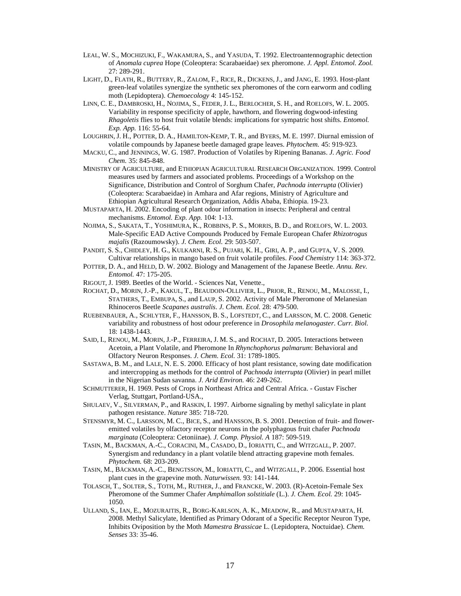- LEAL, W. S., MOCHIZUKI, F., WAKAMURA, S., and YASUDA, T. 1992. Electroantennographic detection of *Anomala cuprea* Hope (Coleoptera: Scarabaeidae) sex pheromone*. J. Appl. Entomol. Zool.* 27: 289-291.
- LIGHT, D., FLATH, R., BUTTERY, R., ZALOM, F., RICE, R., DICKENS, J., and JANG, E. 1993. Host-plant green-leaf volatiles synergize the synthetic sex pheromones of the corn earworm and codling moth (Lepidoptera). *Chemoecology* 4: 145-152.
- LINN, C. E., DAMBROSKI, H., NOJIMA, S., FEDER, J. L., BERLOCHER, S. H., and ROELOFS, W. L. 2005. Variability in response specificity of apple, hawthorn, and flowering dogwood-infesting *Rhagoletis* flies to host fruit volatile blends: implications for sympatric host shifts. *Entomol. Exp. App.* 116: 55-64.
- LOUGHRIN, J. H., POTTER, D. A., HAMILTON-KEMP, T. R., and BYERS, M. E. 1997. Diurnal emission of volatile compounds by Japanese beetle damaged grape leaves. *Phytochem.* 45: 919-923.
- MACKU, C., and JENNINGS, W. G. 1987. Production of Volatiles by Ripening Bananas. *J. Agric. Food Chem.* 35: 845-848.
- MINISTRY OF AGRICULTURE, and ETHIOPIAN AGRICULTURAL RESEARCH ORGANIZATION. 1999. Control measures used by farmers and associated problems. Proceedings of a Workshop on the Significance, Distribution and Control of Sorghum Chafer, *Pachnoda interrupta* (Olivier) (Coleoptera: Scarabaeidae) in Amhara and Afar regions, Ministry of Agriculture and Ethiopian Agricultural Research Organization, Addis Ababa, Ethiopia. 19-23.
- MUSTAPARTA, H. 2002. Encoding of plant odour information in insects: Peripheral and central mechanisms. *Entomol. Exp. App.* 104: 1-13.
- NOJIMA, S., SAKATA, T., YOSHIMURA, K., ROBBINS, P. S., MORRIS, B. D., and ROELOFS, W. L. 2003. Male-Specific EAD Active Compounds Produced by Female European Chafer *Rhizotrogus majalis* (Razoumowsky). *J. Chem. Ecol.* 29: 503-507.
- PANDIT, S. S., CHIDLEY, H. G., KULKARNI, R. S., PUJARI, K. H., GIRI, A. P., and GUPTA, V. S. 2009. Cultivar relationships in mango based on fruit volatile profiles. *Food Chemistry* 114: 363-372.
- POTTER, D. A., and HELD, D. W. 2002. Biology and Management of the Japanese Beetle. *Annu. Rev. Entomol.* 47: 175-205.
- RIGOUT, J. 1989. Beetles of the World. Sciences Nat, Venette.,
- ROCHAT, D., MORIN, J.-P., KAKUL, T., BEAUDOIN-OLLIVIER, L., PRIOR, R., RENOU, M., MALOSSE, I., STATHERS, T., EMBUPA, S., and LAUP, S. 2002. Activity of Male Pheromone of Melanesian Rhinoceros Beetle *Scapanes australis*. *J. Chem. Ecol.* 28: 479-500.
- RUEBENBAUER, A., SCHLYTER, F., HANSSON, B. S., LOFSTEDT, C., and LARSSON, M. C. 2008. Genetic variability and robustness of host odour preference in *Drosophila melanogaster*. *Curr. Biol.* 18: 1438-1443.
- SAID, I., RENOU, M., MORIN, J.-P., FERREIRA, J. M. S., and ROCHAT, D. 2005. Interactions between Acetoin, a Plant Volatile, and Pheromone In *Rhynchophorus palmarum*: Behavioral and Olfactory Neuron Responses. *J. Chem. Ecol.* 31: 1789-1805.
- SASTAWA, B. M., and LALE, N. E. S. 2000. Efficacy of host plant resistance, sowing date modification and intercropping as methods for the control of *Pachnoda interrupta* (Olivier) in pearl millet in the Nigerian Sudan savanna. *J. Arid Environ.* 46: 249-262.
- SCHMUTTERER, H. 1969. Pests of Crops in Northeast Africa and Central Africa. Gustav Fischer Verlag, Stuttgart, Portland-USA.,
- SHULAEV, V., SILVERMAN, P., and RASKIN, I. 1997. Airborne signaling by methyl salicylate in plant pathogen resistance. *Nature* 385: 718-720.
- STENSMYR, M. C., LARSSON, M. C., BICE, S., and HANSSON, B. S. 2001. Detection of fruit- and floweremitted volatiles by olfactory receptor neurons in the polyphagous fruit chafer *Pachnoda marginata* (Coleoptera: Cetoniinae). *J. Comp. Physiol. A* 187: 509-519.
- TASIN, M., BACKMAN, A.-C., CORACINI, M., CASADO, D., IORIATTI, C., and WITZGALL, P. 2007. Synergism and redundancy in a plant volatile blend attracting grapevine moth females. *Phytochem.* 68: 203-209.
- TASIN, M., BÄCKMAN, A.-C., BENGTSSON, M., IORIATTI, C., and WITZGALL, P. 2006. Essential host plant cues in the grapevine moth. *Naturwissen.* 93: 141-144.
- TOLASCH, T., SOLTER, S., TOTH, M., RUTHER, J., and FRANCKE, W. 2003. (R)-Acetoin-Female Sex Pheromone of the Summer Chafer *Amphimallon solstitiale* (L.). *J. Chem. Ecol.* 29: 1045- 1050.
- ULLAND, S., IAN, E., MOZURAITIS, R., BORG-KARLSON, A. K., MEADOW, R., and MUSTAPARTA, H. 2008. Methyl Salicylate, Identified as Primary Odorant of a Specific Receptor Neuron Type, Inhibits Oviposition by the Moth *Mamestra Brassicae* L. (Lepidoptera, Noctuidae). *Chem. Senses* 33: 35-46.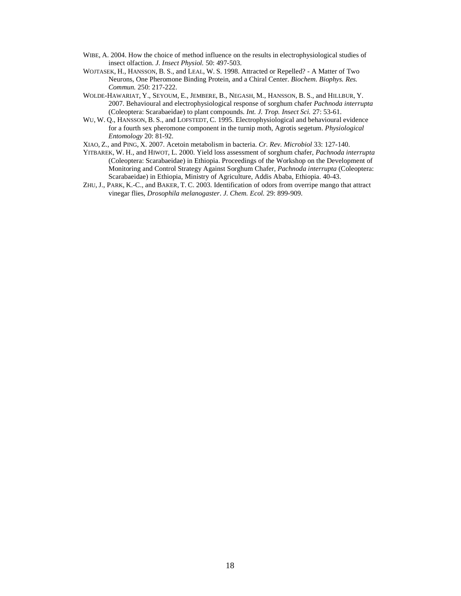- WIBE, A. 2004. How the choice of method influence on the results in electrophysiological studies of insect olfaction. *J. Insect Physiol.* 50: 497-503.
- WOJTASEK, H., HANSSON, B. S., and LEAL, W. S. 1998. Attracted or Repelled? A Matter of Two Neurons, One Pheromone Binding Protein, and a Chiral Center. *Biochem. Biophys. Res. Commun.* 250: 217-222.
- WOLDE-HAWARIAT, Y., SEYOUM, E., JEMBERE, B., NEGASH, M., HANSSON, B. S., and HILLBUR, Y. 2007. Behavioural and electrophysiological response of sorghum chafer *Pachnoda interrupta* (Coleoptera: Scarabaeidae) to plant compounds. *Int. J. Trop. Insect Sci.* 27: 53-61.
- WU, W. Q., HANSSON, B. S., and LOFSTEDT, C. 1995. Electrophysiological and behavioural evidence for a fourth sex pheromone component in the turnip moth, Agrotis segetum. *Physiological Entomology* 20: 81-92.

XIAO, Z., and PING, X. 2007. Acetoin metabolism in bacteria. *Cr. Rev. Microbiol* 33: 127-140.

- YITBAREK, W. H., and HIWOT, L. 2000. Yield loss assessment of sorghum chafer, *Pachnoda interrupta*  (Coleoptera: Scarabaeidae) in Ethiopia. Proceedings of the Workshop on the Development of Monitoring and Control Strategy Against Sorghum Chafer, *Pachnoda interrupta* (Coleoptera: Scarabaeidae) in Ethiopia, Ministry of Agriculture, Addis Ababa, Ethiopia. 40-43.
- ZHU, J., PARK, K.-C., and BAKER, T. C. 2003. Identification of odors from overripe mango that attract vinegar flies, *Drosophila melanogaster*. *J. Chem. Ecol.* 29: 899-909.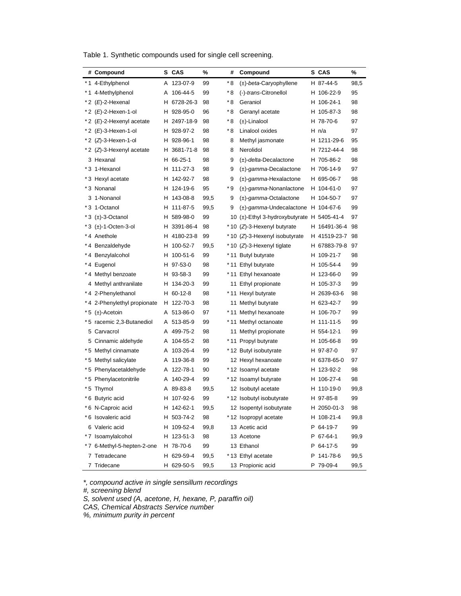Table 1. Synthetic compounds used for single cell screening.

|     | # Compound                    |    | S CAS      | %    | #   | Compound                                   | S CAS        | %    |
|-----|-------------------------------|----|------------|------|-----|--------------------------------------------|--------------|------|
|     | *1 4-Ethylphenol              | A  | 123-07-9   | 99   | * 8 | $(\pm)$ - <i>beta</i> -Caryophyllene       | H 87-44-5    | 98,5 |
|     | *1 4-Methylphenol             | Α  | 106-44-5   | 99   | * 8 | (-)-trans-Citronellol                      | H 106-22-9   | 95   |
|     | *2 (E)-2-Hexenal              | н  | 6728-26-3  | 98   | * 8 | Geraniol                                   | H 106-24-1   | 98   |
|     | *2 (E)-2-Hexen-1-ol           | н. | 928-95-0   | 96   | * 8 | Geranyl acetate                            | H 105-87-3   | 98   |
|     | *2 (E)-2-Hexenyl acetate      | н  | 2497-18-9  | 98   | * 8 | $(\pm)$ -Linalool                          | H 78-70-6    | 97   |
|     | * 2 ( <i>E</i> )-3-Hexen-1-ol | н. | 928-97-2   | 98   | * 8 | Linalool oxides                            | H n/a        | 97   |
|     | *2 (Z)-3-Hexen-1-ol           |    | H 928-96-1 | 98   | 8   | Methyl jasmonate                           | H 1211-29-6  | 95   |
|     | *2 (Z)-3-Hexenyl acetate      | н  | 3681-71-8  | 98   | 8   | Nerolidol                                  | H 7212-44-4  | 98   |
|     | 3 Hexanal                     |    | H 66-25-1  | 98   | 9   | $(\pm)$ - <i>delta</i> -Decalactone        | H 705-86-2   | 98   |
|     | *3 1-Hexanol                  | н. | 111-27-3   | 98   | 9   | $(\pm)$ -gamma-Decalactone                 | H 706-14-9   | 97   |
|     | *3 Hexyl acetate              |    | H 142-92-7 | 98   | 9   | $(\pm)$ -gamma-Hexalactone                 | H 695-06-7   | 98   |
|     | *3 Nonanal                    |    | H 124-19-6 | 95   | * 9 | $(\pm)$ -gamma-Nonanlactone                | H 104-61-0   | 97   |
|     | 3 1-Nonanol                   |    | H 143-08-8 | 99,5 | 9   | $(\pm)$ -gamma-Octalactone                 | H 104-50-7   | 97   |
|     | *3 1-Octanol                  | н. | 111-87-5   | 99,5 | 9   | $(\pm)$ -gamma-Undecalactone               | H 104-67-6   | 99   |
|     | $*3$ ( $\pm$ )-3-Octanol      |    | H 589-98-0 | 99   |     | 10 (±)-Ethyl 3-hydroxybutyrate H 5405-41-4 |              | 97   |
|     | *3 (±)-1-Octen-3-ol           | н  | 3391-86-4  | 98   |     | * 10 (Z)-3-Hexenyl butyrate                | H 16491-36-4 | 98   |
|     | *4 Anethole                   | н. | 4180-23-8  | 99   |     | * 10 (Z)-3-Hexenyl isobutyrate             | H 41519-23-7 | 98   |
|     | * 4 Benzaldehyde              | н  | 100-52-7   | 99,5 |     | * 10 (Z)-3-Hexenyl tiglate                 | H 67883-79-8 | 97   |
| * 4 | Benzylalcohol                 | н  | 100-51-6   | 99   |     | * 11 Butyl butyrate                        | H 109-21-7   | 98   |
|     | * 4 Eugenol                   |    | H 97-53-0  | 98   |     | * 11 Ethyl butyrate                        | H 105-54-4   | 99   |
|     | *4 Methyl benzoate            |    | H 93-58-3  | 99   |     | *11 Ethyl hexanoate                        | H 123-66-0   | 99   |
|     | 4 Methyl anthranilate         | н  | 134-20-3   | 99   |     | 11 Ethyl propionate                        | H 105-37-3   | 99   |
|     | *4 2-Phenylethanol            |    | H 60-12-8  | 98   |     | *11 Hexyl butyrate                         | H 2639-63-6  | 98   |
|     | * 4 2-Phenylethyl propionate  |    | H 122-70-3 | 98   |     | 11 Methyl butyrate                         | H 623-42-7   | 99   |
| * 5 | $(\pm)$ -Acetoin              |    | A 513-86-0 | 97   |     | *11 Methyl hexanoate                       | H 106-70-7   | 99   |
|     | *5 racemic 2,3-Butanediol     |    | A 513-85-9 | 99   |     | *11 Methyl octanoate                       | H 111-11-5   | 99   |
| 5.  | Carvacrol                     | A  | 499-75-2   | 98   |     | 11 Methyl propionate                       | H 554-12-1   | 99   |
|     | 5 Cinnamic aldehyde           | A  | 104-55-2   | 98   |     | * 11 Propyl butyrate                       | H 105-66-8   | 99   |
|     | *5 Methyl cinnamate           | A  | 103-26-4   | 99   |     | * 12 Butyl isobutyrate                     | H 97-87-0    | 97   |
|     | *5 Methyl salicylate          |    | A 119-36-8 | 99   |     | 12 Hexyl hexanoate                         | H 6378-65-0  | 97   |
|     | *5 Phenylacetaldehyde         | A  | 122-78-1   | 90   |     | * 12 Isoamyl acetate                       | H 123-92-2   | 98   |
|     | *5 Phenylacetonitrile         | A  | 140-29-4   | 99   |     | * 12 Isoamyl butyrate                      | H 106-27-4   | 98   |
|     | *5 Thymol                     |    | A 89-83-8  | 99,5 |     | 12 Isobutyl acetate                        | H 110-19-0   | 99,8 |
|     | *6 Butyric acid               |    | H 107-92-6 | 99   |     | *12 Isobutyl isobutyrate                   | H 97-85-8    | 99   |
|     | *6 N-Caproic acid             |    | H 142-62-1 | 99,5 |     | 12 Isopentyl isobutyrate                   | H 2050-01-3  | 98   |
|     | *6 Isovaleric acid            |    | H 503-74-2 | 98   |     | * 12 Isopropyl acetate                     | H 108-21-4   | 99,8 |
|     | 6 Valeric acid                |    | H 109-52-4 | 99,8 |     | 13 Acetic acid                             | P 64-19-7    | 99   |
|     | *7 Isoamylalcohol             |    | H 123-51-3 | 98   |     | 13 Acetone                                 | P 67-64-1    | 99,9 |
|     | *7 6-Methyl-5-hepten-2-one    |    | H 78-70-6  | 99   |     | 13 Ethanol                                 | P 64-17-5    | 99   |
|     | 7 Tetradecane                 |    | H 629-59-4 | 99,5 |     | *13 Ethyl acetate                          | P 141-78-6   | 99,5 |
|     | 7 Tridecane                   |    | H 629-50-5 | 99,5 |     | 13 Propionic acid                          | P 79-09-4    | 99,5 |

\*, compound active in single sensillum recordings

#, screening blend

S, solvent used (A, acetone, H, hexane, P, paraffin oil)

CAS, Chemical Abstracts Service number

%, minimum purity in percent